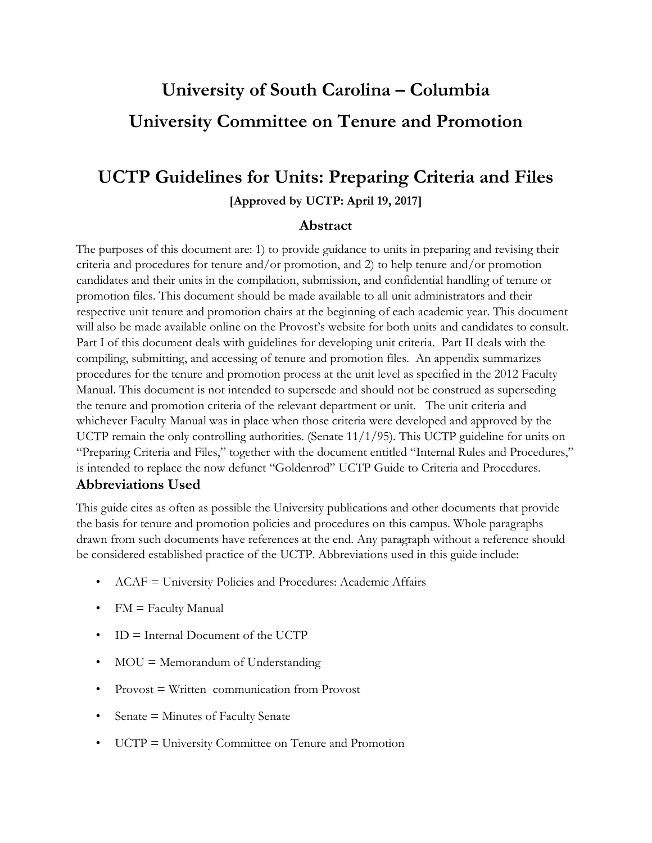# **University of South Carolina – Columbia University Committee on Tenure and Promotion**

# **UCTP Guidelines for Units: Preparing Criteria and Files [Approved by UCTP: April 19, 2017]**

# **Abstract**

The purposes of this document are: 1) to provide guidance to units in preparing and revising their criteria and procedures for tenure and/or promotion, and 2) to help tenure and/or promotion candidates and their units in the compilation, submission, and confidential handling of tenure or promotion files. This document should be made available to all unit administrators and their respective unit tenure and promotion chairs at the beginning of each academic year. This document will also be made available online on the Provost's website for both units and candidates to consult. Part I of this document deals with guidelines for developing unit criteria. Part II deals with the compiling, submitting, and accessing of tenure and promotion files. An appendix summarizes procedures for the tenure and promotion process at the unit level as specified in the 2012 Faculty Manual. This document is not intended to supersede and should not be construed as superseding the tenure and promotion criteria of the relevant department or unit. The unit criteria and whichever Faculty Manual was in place when those criteria were developed and approved by the UCTP remain the only controlling authorities. (Senate  $11/1/95$ ). This UCTP guideline for units on "Preparing Criteria and Files," together with the document entitled "Internal Rules and Procedures," is intended to replace the now defunct "Goldenrod" UCTP Guide to Criteria and Procedures.

# **Abbreviations Used**

This guide cites as often as possible the University publications and other documents that provide the basis for tenure and promotion policies and procedures on this campus. Whole paragraphs drawn from such documents have references at the end. Any paragraph without a reference should be considered established practice of the UCTP. Abbreviations used in this guide include:

- ACAF = University Policies and Procedures: Academic Affairs
- FM = Faculty Manual
- ID = Internal Document of the UCTP
- MOU = Memorandum of Understanding
- Provost = Written communication from Provost
- Senate = Minutes of Faculty Senate
- UCTP = University Committee on Tenure and Promotion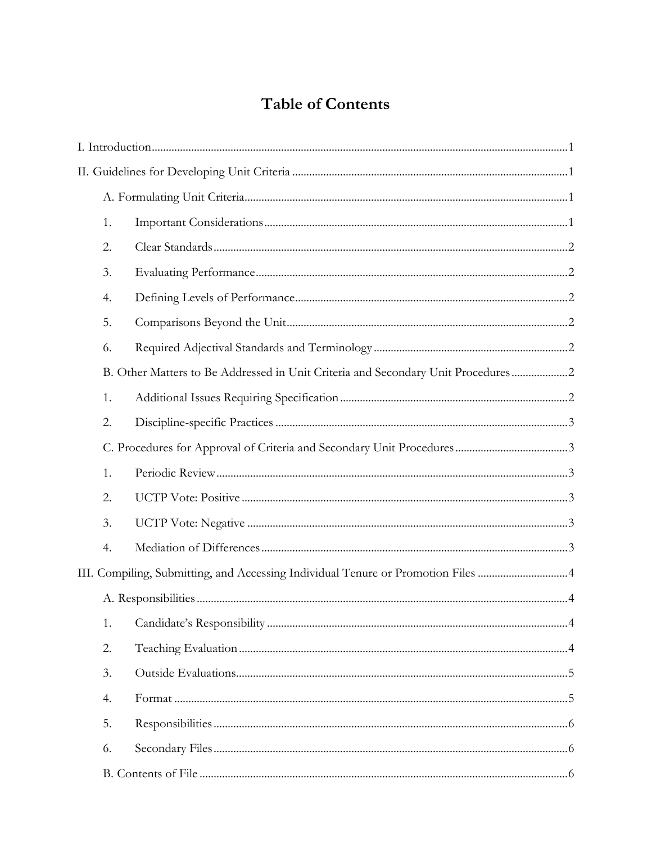# **Table of Contents**

|  | 1. |                                                                                  |  |  |  |
|--|----|----------------------------------------------------------------------------------|--|--|--|
|  | 2. |                                                                                  |  |  |  |
|  | 3. |                                                                                  |  |  |  |
|  | 4. |                                                                                  |  |  |  |
|  | 5. |                                                                                  |  |  |  |
|  | 6. |                                                                                  |  |  |  |
|  |    | B. Other Matters to Be Addressed in Unit Criteria and Secondary Unit Procedures2 |  |  |  |
|  | 1. |                                                                                  |  |  |  |
|  | 2. |                                                                                  |  |  |  |
|  |    |                                                                                  |  |  |  |
|  | 1. |                                                                                  |  |  |  |
|  | 2. |                                                                                  |  |  |  |
|  | 3. |                                                                                  |  |  |  |
|  | 4. |                                                                                  |  |  |  |
|  |    |                                                                                  |  |  |  |
|  |    |                                                                                  |  |  |  |
|  | 1. |                                                                                  |  |  |  |
|  | 2. |                                                                                  |  |  |  |
|  | 3. |                                                                                  |  |  |  |
|  | 4. |                                                                                  |  |  |  |
|  | 5. |                                                                                  |  |  |  |
|  | 6. |                                                                                  |  |  |  |
|  |    |                                                                                  |  |  |  |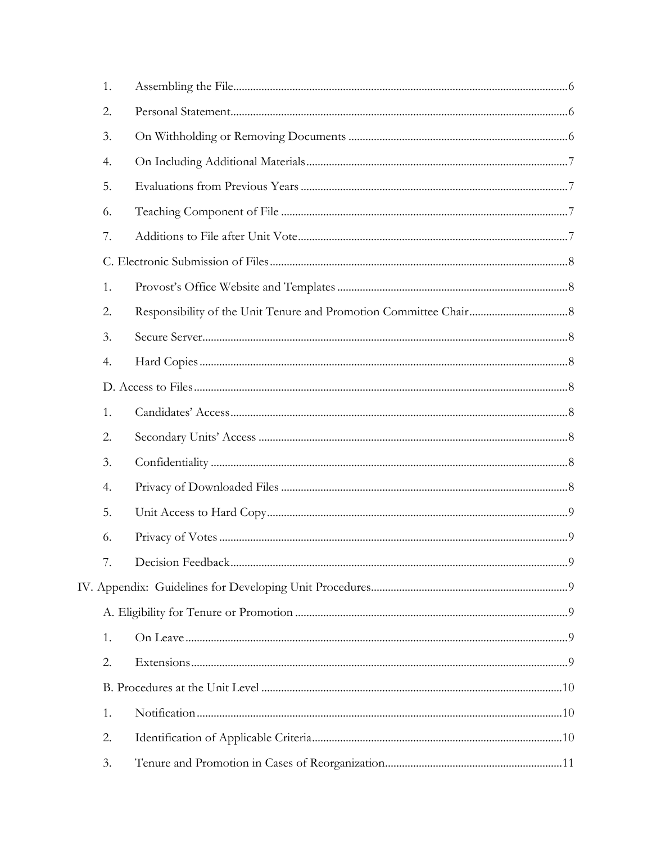| 1. |  |
|----|--|
| 2. |  |
| 3. |  |
| 4. |  |
| 5. |  |
| 6. |  |
| 7. |  |
|    |  |
| 1. |  |
| 2. |  |
| 3. |  |
| 4. |  |
|    |  |
| 1. |  |
| 2. |  |
| 3. |  |
| 4. |  |
| 5. |  |
| 6. |  |
| 7. |  |
|    |  |
|    |  |
| 1. |  |
| 2. |  |
|    |  |
| 1. |  |
| 2. |  |
| 3. |  |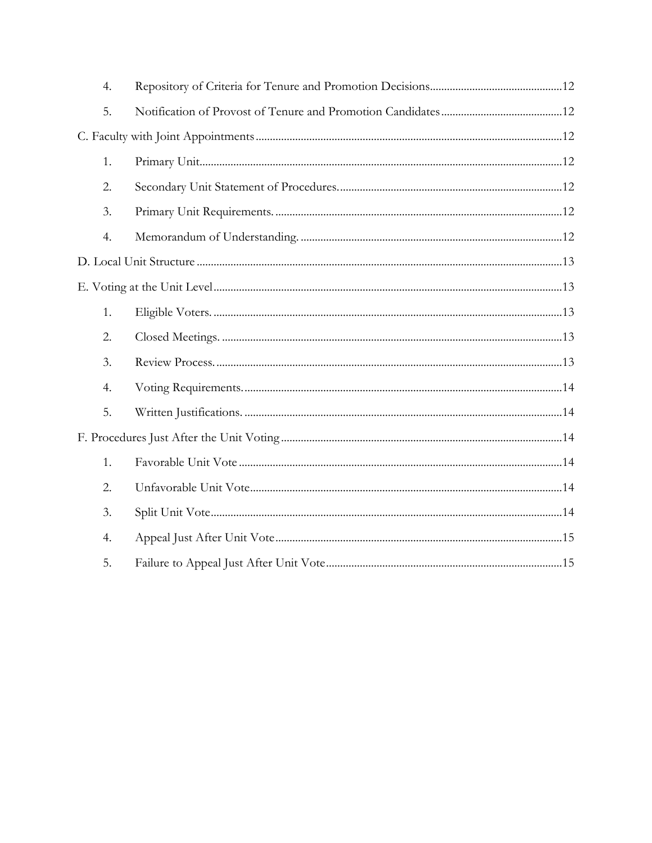| 4. |  |  |  |  |  |
|----|--|--|--|--|--|
| 5. |  |  |  |  |  |
|    |  |  |  |  |  |
| 1. |  |  |  |  |  |
| 2. |  |  |  |  |  |
| 3. |  |  |  |  |  |
| 4. |  |  |  |  |  |
|    |  |  |  |  |  |
|    |  |  |  |  |  |
| 1. |  |  |  |  |  |
| 2. |  |  |  |  |  |
| 3. |  |  |  |  |  |
| 4. |  |  |  |  |  |
| 5. |  |  |  |  |  |
|    |  |  |  |  |  |
| 1. |  |  |  |  |  |
| 2. |  |  |  |  |  |
| 3. |  |  |  |  |  |
| 4. |  |  |  |  |  |
| 5. |  |  |  |  |  |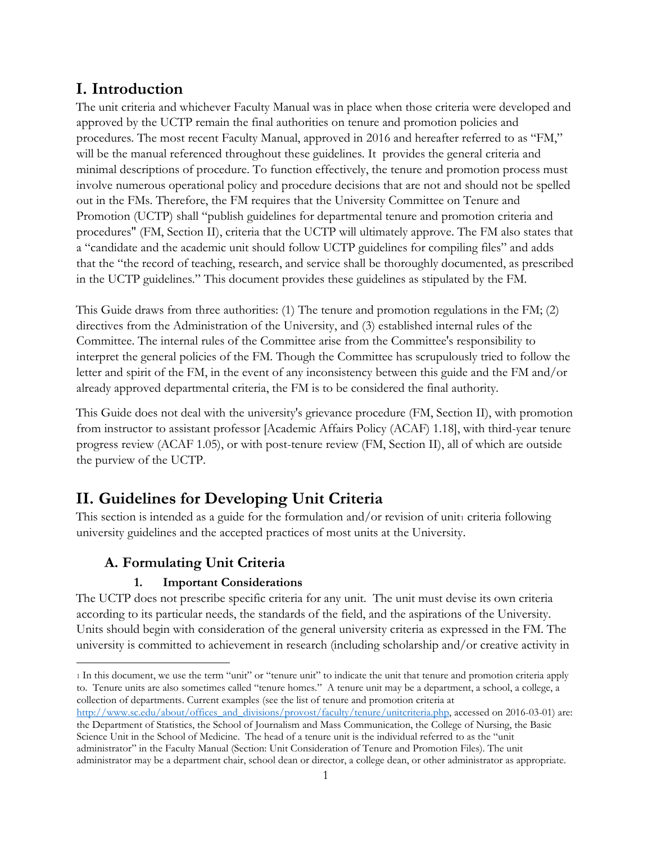# <span id="page-4-0"></span>**I. Introduction**

The unit criteria and whichever Faculty Manual was in place when those criteria were developed and approved by the UCTP remain the final authorities on tenure and promotion policies and procedures. The most recent Faculty Manual, approved in 2016 and hereafter referred to as "FM," will be the manual referenced throughout these guidelines. It provides the general criteria and minimal descriptions of procedure. To function effectively, the tenure and promotion process must involve numerous operational policy and procedure decisions that are not and should not be spelled out in the FMs. Therefore, the FM requires that the University Committee on Tenure and Promotion (UCTP) shall "publish guidelines for departmental tenure and promotion criteria and procedures" (FM, Section II), criteria that the UCTP will ultimately approve. The FM also states that a "candidate and the academic unit should follow UCTP guidelines for compiling files" and adds that the "the record of teaching, research, and service shall be thoroughly documented, as prescribed in the UCTP guidelines." This document provides these guidelines as stipulated by the FM.

This Guide draws from three authorities: (1) The tenure and promotion regulations in the FM; (2) directives from the Administration of the University, and (3) established internal rules of the Committee. The internal rules of the Committee arise from the Committee's responsibility to interpret the general policies of the FM. Though the Committee has scrupulously tried to follow the letter and spirit of the FM, in the event of any inconsistency between this guide and the FM and/or already approved departmental criteria, the FM is to be considered the final authority.

This Guide does not deal with the university's grievance procedure (FM, Section II), with promotion from instructor to assistant professor [Academic Affairs Policy (ACAF) 1.18], with third-year tenure progress review (ACAF 1.05), or with post-tenure review (FM, Section II), all of which are outside the purview of the UCTP.

# <span id="page-4-1"></span>**II. Guidelines for Developing Unit Criteria**

This section is intended as a guide for the formulation and/or revision of unit<sub>1</sub> criteria following university guidelines and the accepted practices of most units at the University.

# <span id="page-4-2"></span>**A. Formulating Unit Criteria**

# <span id="page-4-3"></span>**1. Important Considerations**

The UCTP does not prescribe specific criteria for any unit. The unit must devise its own criteria according to its particular needs, the standards of the field, and the aspirations of the University. Units should begin with consideration of the general university criteria as expressed in the FM. The university is committed to achievement in research (including scholarship and/or creative activity in

 $\overline{a}$ <sup>1</sup> In this document, we use the term "unit" or "tenure unit" to indicate the unit that tenure and promotion criteria apply to. Tenure units are also sometimes called "tenure homes." A tenure unit may be a department, a school, a college, a collection of departments. Current examples (see the list of tenure and promotion criteria at

[http://www.sc.edu/about/offices\\_and\\_divisions/provost/faculty/tenure/unitcriteria.php,](http://www.sc.edu/about/offices_and_divisions/provost/faculty/tenure/unitcriteria.php) accessed on 2016-03-01) are: the Department of Statistics, the School of Journalism and Mass Communication, the College of Nursing, the Basic Science Unit in the School of Medicine. The head of a tenure unit is the individual referred to as the "unit administrator" in the Faculty Manual (Section: Unit Consideration of Tenure and Promotion Files). The unit administrator may be a department chair, school dean or director, a college dean, or other administrator as appropriate.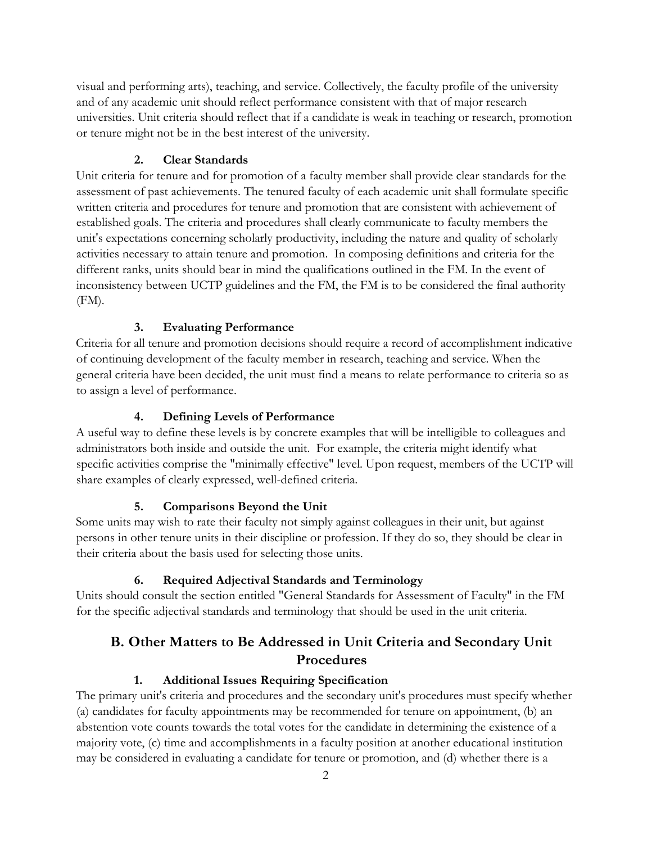visual and performing arts), teaching, and service. Collectively, the faculty profile of the university and of any academic unit should reflect performance consistent with that of major research universities. Unit criteria should reflect that if a candidate is weak in teaching or research, promotion or tenure might not be in the best interest of the university.

#### <span id="page-5-0"></span>**2. Clear Standards**

Unit criteria for tenure and for promotion of a faculty member shall provide clear standards for the assessment of past achievements. The tenured faculty of each academic unit shall formulate specific written criteria and procedures for tenure and promotion that are consistent with achievement of established goals. The criteria and procedures shall clearly communicate to faculty members the unit's expectations concerning scholarly productivity, including the nature and quality of scholarly activities necessary to attain tenure and promotion. In composing definitions and criteria for the different ranks, units should bear in mind the qualifications outlined in the FM. In the event of inconsistency between UCTP guidelines and the FM, the FM is to be considered the final authority (FM).

# <span id="page-5-1"></span>**3. Evaluating Performance**

Criteria for all tenure and promotion decisions should require a record of accomplishment indicative of continuing development of the faculty member in research, teaching and service. When the general criteria have been decided, the unit must find a means to relate performance to criteria so as to assign a level of performance.

#### <span id="page-5-2"></span>**4. Defining Levels of Performance**

A useful way to define these levels is by concrete examples that will be intelligible to colleagues and administrators both inside and outside the unit. For example, the criteria might identify what specific activities comprise the "minimally effective" level. Upon request, members of the UCTP will share examples of clearly expressed, well-defined criteria.

# <span id="page-5-3"></span>**5. Comparisons Beyond the Unit**

Some units may wish to rate their faculty not simply against colleagues in their unit, but against persons in other tenure units in their discipline or profession. If they do so, they should be clear in their criteria about the basis used for selecting those units.

#### <span id="page-5-4"></span>**6. Required Adjectival Standards and Terminology**

Units should consult the section entitled "General Standards for Assessment of Faculty" in the FM for the specific adjectival standards and terminology that should be used in the unit criteria.

# <span id="page-5-5"></span>**B. Other Matters to Be Addressed in Unit Criteria and Secondary Unit Procedures**

#### <span id="page-5-6"></span>**1. Additional Issues Requiring Specification**

The primary unit's criteria and procedures and the secondary unit's procedures must specify whether (a) candidates for faculty appointments may be recommended for tenure on appointment, (b) an abstention vote counts towards the total votes for the candidate in determining the existence of a majority vote, (c) time and accomplishments in a faculty position at another educational institution may be considered in evaluating a candidate for tenure or promotion, and (d) whether there is a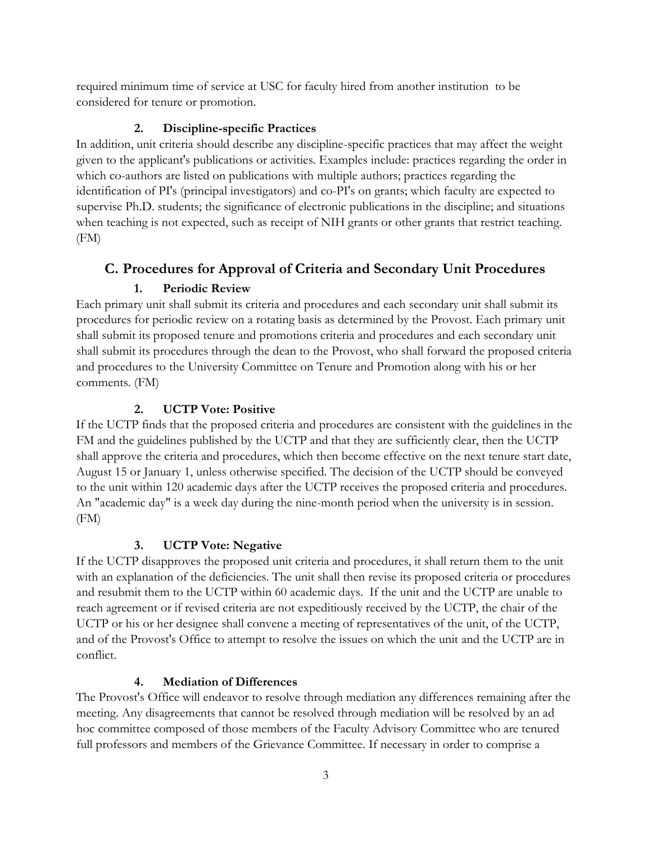required minimum time of service at USC for faculty hired from another institution to be considered for tenure or promotion.

#### <span id="page-6-0"></span>**2. Discipline-specific Practices**

In addition, unit criteria should describe any discipline-specific practices that may affect the weight given to the applicant's publications or activities. Examples include: practices regarding the order in which co-authors are listed on publications with multiple authors; practices regarding the identification of PI's (principal investigators) and co-PI's on grants; which faculty are expected to supervise Ph.D. students; the significance of electronic publications in the discipline; and situations when teaching is not expected, such as receipt of NIH grants or other grants that restrict teaching. (FM)

# <span id="page-6-1"></span>**C. Procedures for Approval of Criteria and Secondary Unit Procedures**

# <span id="page-6-2"></span>**1. Periodic Review**

Each primary unit shall submit its criteria and procedures and each secondary unit shall submit its procedures for periodic review on a rotating basis as determined by the Provost. Each primary unit shall submit its proposed tenure and promotions criteria and procedures and each secondary unit shall submit its procedures through the dean to the Provost, who shall forward the proposed criteria and procedures to the University Committee on Tenure and Promotion along with his or her comments. (FM)

# <span id="page-6-3"></span>**2. UCTP Vote: Positive**

If the UCTP finds that the proposed criteria and procedures are consistent with the guidelines in the FM and the guidelines published by the UCTP and that they are sufficiently clear, then the UCTP shall approve the criteria and procedures, which then become effective on the next tenure start date, August 15 or January 1, unless otherwise specified. The decision of the UCTP should be conveyed to the unit within 120 academic days after the UCTP receives the proposed criteria and procedures. An "academic day" is a week day during the nine-month period when the university is in session. (FM)

# <span id="page-6-4"></span>**3. UCTP Vote: Negative**

If the UCTP disapproves the proposed unit criteria and procedures, it shall return them to the unit with an explanation of the deficiencies. The unit shall then revise its proposed criteria or procedures and resubmit them to the UCTP within 60 academic days. If the unit and the UCTP are unable to reach agreement or if revised criteria are not expeditiously received by the UCTP, the chair of the UCTP or his or her designee shall convene a meeting of representatives of the unit, of the UCTP, and of the Provost's Office to attempt to resolve the issues on which the unit and the UCTP are in conflict.

# <span id="page-6-5"></span>**4. Mediation of Differences**

The Provost's Office will endeavor to resolve through mediation any differences remaining after the meeting. Any disagreements that cannot be resolved through mediation will be resolved by an ad hoc committee composed of those members of the Faculty Advisory Committee who are tenured full professors and members of the Grievance Committee. If necessary in order to comprise a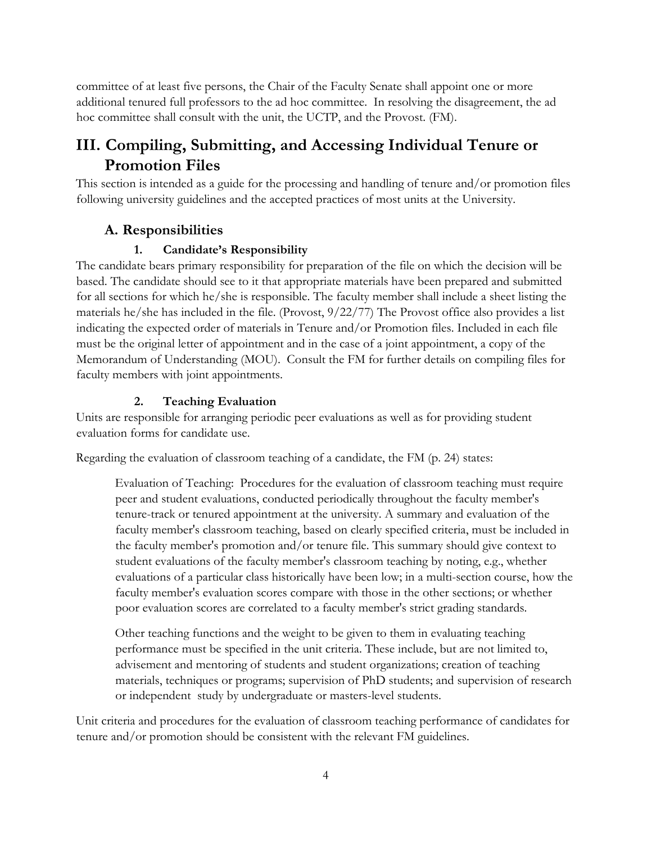committee of at least five persons, the Chair of the Faculty Senate shall appoint one or more additional tenured full professors to the ad hoc committee. In resolving the disagreement, the ad hoc committee shall consult with the unit, the UCTP, and the Provost. (FM).

# <span id="page-7-0"></span>**III. Compiling, Submitting, and Accessing Individual Tenure or Promotion Files**

This section is intended as a guide for the processing and handling of tenure and/or promotion files following university guidelines and the accepted practices of most units at the University.

# <span id="page-7-1"></span>**A. Responsibilities**

# <span id="page-7-2"></span>**1. Candidate's Responsibility**

The candidate bears primary responsibility for preparation of the file on which the decision will be based. The candidate should see to it that appropriate materials have been prepared and submitted for all sections for which he/she is responsible. The faculty member shall include a sheet listing the materials he/she has included in the file. (Provost, 9/22/77) The Provost office also provides a list indicating the expected order of materials in Tenure and/or Promotion files. Included in each file must be the original letter of appointment and in the case of a joint appointment, a copy of the Memorandum of Understanding (MOU). Consult the FM for further details on compiling files for faculty members with joint appointments.

# <span id="page-7-3"></span>**2. Teaching Evaluation**

Units are responsible for arranging periodic peer evaluations as well as for providing student evaluation forms for candidate use.

Regarding the evaluation of classroom teaching of a candidate, the FM (p. 24) states:

Evaluation of Teaching: Procedures for the evaluation of classroom teaching must require peer and student evaluations, conducted periodically throughout the faculty member's tenure-track or tenured appointment at the university. A summary and evaluation of the faculty member's classroom teaching, based on clearly specified criteria, must be included in the faculty member's promotion and/or tenure file. This summary should give context to student evaluations of the faculty member's classroom teaching by noting, e.g., whether evaluations of a particular class historically have been low; in a multi-section course, how the faculty member's evaluation scores compare with those in the other sections; or whether poor evaluation scores are correlated to a faculty member's strict grading standards.

Other teaching functions and the weight to be given to them in evaluating teaching performance must be specified in the unit criteria. These include, but are not limited to, advisement and mentoring of students and student organizations; creation of teaching materials, techniques or programs; supervision of PhD students; and supervision of research or independent study by undergraduate or masters-level students.

Unit criteria and procedures for the evaluation of classroom teaching performance of candidates for tenure and/or promotion should be consistent with the relevant FM guidelines.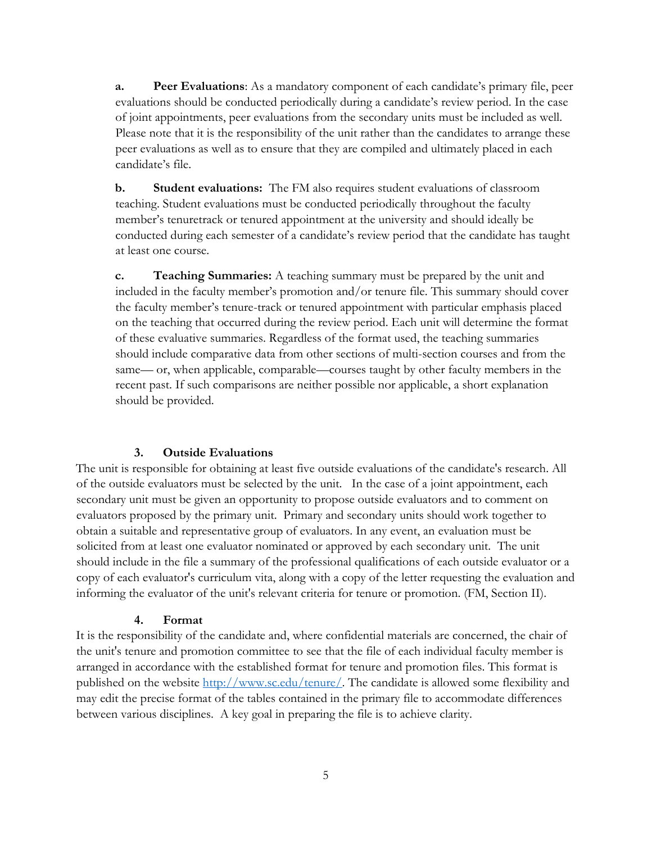**a. Peer Evaluations**: As a mandatory component of each candidate's primary file, peer evaluations should be conducted periodically during a candidate's review period. In the case of joint appointments, peer evaluations from the secondary units must be included as well. Please note that it is the responsibility of the unit rather than the candidates to arrange these peer evaluations as well as to ensure that they are compiled and ultimately placed in each candidate's file.

**b. Student evaluations:** The FM also requires student evaluations of classroom teaching. Student evaluations must be conducted periodically throughout the faculty member's tenuretrack or tenured appointment at the university and should ideally be conducted during each semester of a candidate's review period that the candidate has taught at least one course.

**c. Teaching Summaries:** A teaching summary must be prepared by the unit and included in the faculty member's promotion and/or tenure file. This summary should cover the faculty member's tenure-track or tenured appointment with particular emphasis placed on the teaching that occurred during the review period. Each unit will determine the format of these evaluative summaries. Regardless of the format used, the teaching summaries should include comparative data from other sections of multi-section courses and from the same— or, when applicable, comparable—courses taught by other faculty members in the recent past. If such comparisons are neither possible nor applicable, a short explanation should be provided.

#### <span id="page-8-0"></span>**3. Outside Evaluations**

The unit is responsible for obtaining at least five outside evaluations of the candidate's research. All of the outside evaluators must be selected by the unit. In the case of a joint appointment, each secondary unit must be given an opportunity to propose outside evaluators and to comment on evaluators proposed by the primary unit. Primary and secondary units should work together to obtain a suitable and representative group of evaluators. In any event, an evaluation must be solicited from at least one evaluator nominated or approved by each secondary unit. The unit should include in the file a summary of the professional qualifications of each outside evaluator or a copy of each evaluator's curriculum vita, along with a copy of the letter requesting the evaluation and informing the evaluator of the unit's relevant criteria for tenure or promotion. (FM, Section II).

#### <span id="page-8-1"></span>**4. Format**

It is the responsibility of the candidate and, where confidential materials are concerned, the chair of the unit's tenure and promotion committee to see that the file of each individual faculty member is arranged in accordance with the established format for tenure and promotion files. This format is published on the website [http://www.sc.edu/tenure/.](http://www.sc.edu/tenure/) The candidate is allowed some flexibility and may edit the precise format of the tables contained in the primary file to accommodate differences between various disciplines. A key goal in preparing the file is to achieve clarity.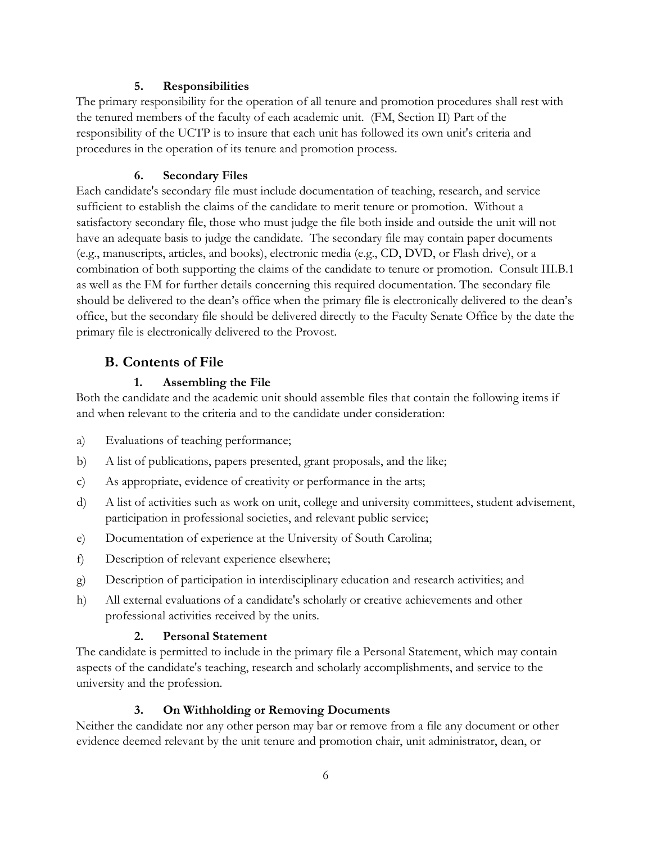#### <span id="page-9-0"></span>**5. Responsibilities**

The primary responsibility for the operation of all tenure and promotion procedures shall rest with the tenured members of the faculty of each academic unit. (FM, Section II) Part of the responsibility of the UCTP is to insure that each unit has followed its own unit's criteria and procedures in the operation of its tenure and promotion process.

# <span id="page-9-1"></span>**6. Secondary Files**

Each candidate's secondary file must include documentation of teaching, research, and service sufficient to establish the claims of the candidate to merit tenure or promotion. Without a satisfactory secondary file, those who must judge the file both inside and outside the unit will not have an adequate basis to judge the candidate. The secondary file may contain paper documents (e.g., manuscripts, articles, and books), electronic media (e.g., CD, DVD, or Flash drive), or a combination of both supporting the claims of the candidate to tenure or promotion. Consult III.B.1 as well as the FM for further details concerning this required documentation. The secondary file should be delivered to the dean's office when the primary file is electronically delivered to the dean's office, but the secondary file should be delivered directly to the Faculty Senate Office by the date the primary file is electronically delivered to the Provost.

# <span id="page-9-2"></span>**B. Contents of File**

# <span id="page-9-3"></span>**1. Assembling the File**

Both the candidate and the academic unit should assemble files that contain the following items if and when relevant to the criteria and to the candidate under consideration:

- a) Evaluations of teaching performance;
- b) A list of publications, papers presented, grant proposals, and the like;
- c) As appropriate, evidence of creativity or performance in the arts;
- d) A list of activities such as work on unit, college and university committees, student advisement, participation in professional societies, and relevant public service;
- e) Documentation of experience at the University of South Carolina;
- f) Description of relevant experience elsewhere;
- g) Description of participation in interdisciplinary education and research activities; and
- h) All external evaluations of a candidate's scholarly or creative achievements and other professional activities received by the units.

# <span id="page-9-4"></span>**2. Personal Statement**

The candidate is permitted to include in the primary file a Personal Statement, which may contain aspects of the candidate's teaching, research and scholarly accomplishments, and service to the university and the profession.

# <span id="page-9-5"></span>**3. On Withholding or Removing Documents**

Neither the candidate nor any other person may bar or remove from a file any document or other evidence deemed relevant by the unit tenure and promotion chair, unit administrator, dean, or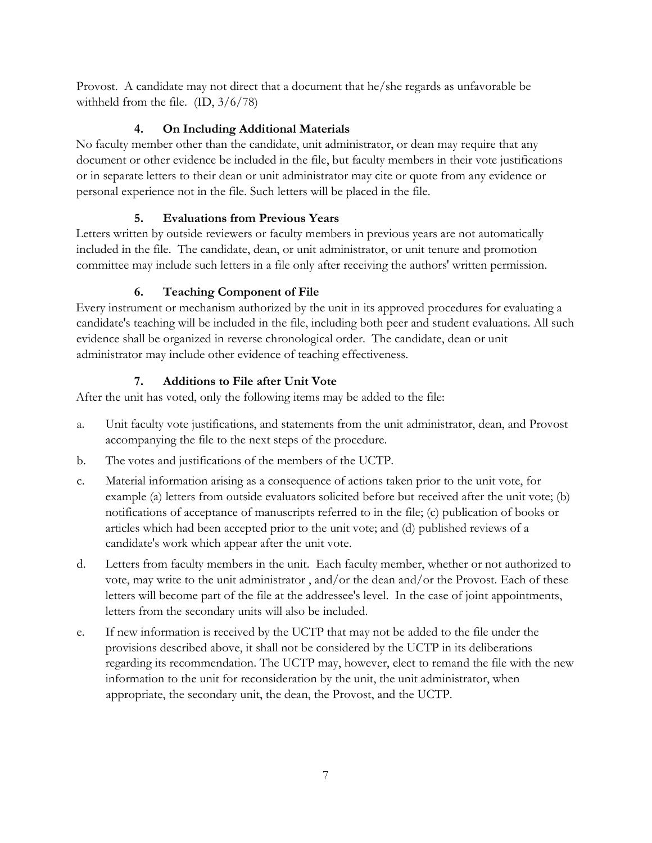Provost. A candidate may not direct that a document that he/she regards as unfavorable be withheld from the file. (ID, 3/6/78)

# <span id="page-10-0"></span>**4. On Including Additional Materials**

No faculty member other than the candidate, unit administrator, or dean may require that any document or other evidence be included in the file, but faculty members in their vote justifications or in separate letters to their dean or unit administrator may cite or quote from any evidence or personal experience not in the file. Such letters will be placed in the file.

# <span id="page-10-1"></span>**5. Evaluations from Previous Years**

Letters written by outside reviewers or faculty members in previous years are not automatically included in the file. The candidate, dean, or unit administrator, or unit tenure and promotion committee may include such letters in a file only after receiving the authors' written permission.

# <span id="page-10-2"></span>**6. Teaching Component of File**

Every instrument or mechanism authorized by the unit in its approved procedures for evaluating a candidate's teaching will be included in the file, including both peer and student evaluations. All such evidence shall be organized in reverse chronological order. The candidate, dean or unit administrator may include other evidence of teaching effectiveness.

# <span id="page-10-3"></span>**7. Additions to File after Unit Vote**

After the unit has voted, only the following items may be added to the file:

- a. Unit faculty vote justifications, and statements from the unit administrator, dean, and Provost accompanying the file to the next steps of the procedure.
- b. The votes and justifications of the members of the UCTP.
- c. Material information arising as a consequence of actions taken prior to the unit vote, for example (a) letters from outside evaluators solicited before but received after the unit vote; (b) notifications of acceptance of manuscripts referred to in the file; (c) publication of books or articles which had been accepted prior to the unit vote; and (d) published reviews of a candidate's work which appear after the unit vote.
- d. Letters from faculty members in the unit. Each faculty member, whether or not authorized to vote, may write to the unit administrator , and/or the dean and/or the Provost. Each of these letters will become part of the file at the addressee's level. In the case of joint appointments, letters from the secondary units will also be included.
- e. If new information is received by the UCTP that may not be added to the file under the provisions described above, it shall not be considered by the UCTP in its deliberations regarding its recommendation. The UCTP may, however, elect to remand the file with the new information to the unit for reconsideration by the unit, the unit administrator, when appropriate, the secondary unit, the dean, the Provost, and the UCTP.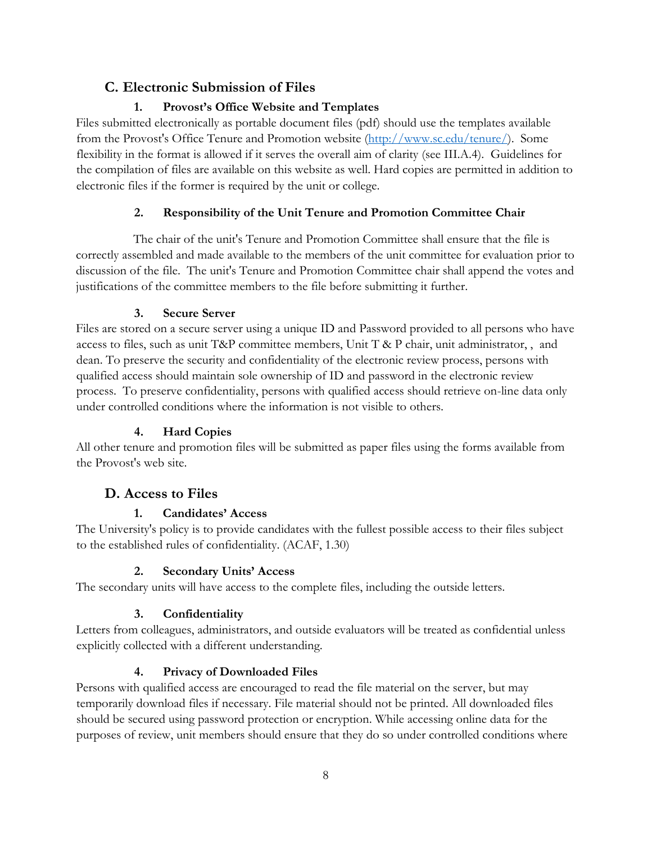# <span id="page-11-0"></span>**C. Electronic Submission of Files**

# <span id="page-11-1"></span>**1. Provost's Office Website and Templates**

Files submitted electronically as portable document files (pdf) should use the templates available from the Provost's Office Tenure and Promotion website [\(http://www.sc.edu/tenure/\)](http://www.sc.edu/tenure/). Some flexibility in the format is allowed if it serves the overall aim of clarity (see III.A.4). Guidelines for the compilation of files are available on this website as well. Hard copies are permitted in addition to electronic files if the former is required by the unit or college.

# <span id="page-11-2"></span>**2. Responsibility of the Unit Tenure and Promotion Committee Chair**

The chair of the unit's Tenure and Promotion Committee shall ensure that the file is correctly assembled and made available to the members of the unit committee for evaluation prior to discussion of the file. The unit's Tenure and Promotion Committee chair shall append the votes and justifications of the committee members to the file before submitting it further.

# <span id="page-11-3"></span>**3. Secure Server**

Files are stored on a secure server using a unique ID and Password provided to all persons who have access to files, such as unit T&P committee members, Unit T & P chair, unit administrator, , and dean. To preserve the security and confidentiality of the electronic review process, persons with qualified access should maintain sole ownership of ID and password in the electronic review process. To preserve confidentiality, persons with qualified access should retrieve on-line data only under controlled conditions where the information is not visible to others.

# <span id="page-11-4"></span>**4. Hard Copies**

All other tenure and promotion files will be submitted as paper files using the forms available from the Provost's web site.

# <span id="page-11-5"></span>**D. Access to Files**

# <span id="page-11-6"></span>**1. Candidates' Access**

The University's policy is to provide candidates with the fullest possible access to their files subject to the established rules of confidentiality. (ACAF, 1.30)

# <span id="page-11-7"></span>**2. Secondary Units' Access**

The secondary units will have access to the complete files, including the outside letters.

# <span id="page-11-8"></span>**3. Confidentiality**

Letters from colleagues, administrators, and outside evaluators will be treated as confidential unless explicitly collected with a different understanding.

# <span id="page-11-9"></span>**4. Privacy of Downloaded Files**

Persons with qualified access are encouraged to read the file material on the server, but may temporarily download files if necessary. File material should not be printed. All downloaded files should be secured using password protection or encryption. While accessing online data for the purposes of review, unit members should ensure that they do so under controlled conditions where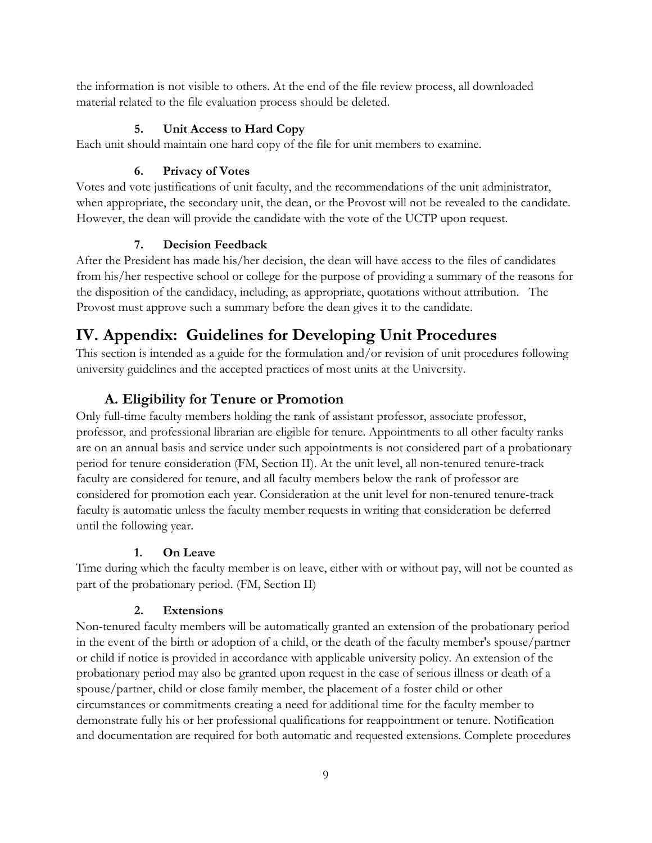the information is not visible to others. At the end of the file review process, all downloaded material related to the file evaluation process should be deleted.

#### <span id="page-12-0"></span>**5. Unit Access to Hard Copy**

Each unit should maintain one hard copy of the file for unit members to examine.

#### <span id="page-12-1"></span>**6. Privacy of Votes**

Votes and vote justifications of unit faculty, and the recommendations of the unit administrator, when appropriate, the secondary unit, the dean, or the Provost will not be revealed to the candidate. However, the dean will provide the candidate with the vote of the UCTP upon request.

#### <span id="page-12-2"></span>**7. Decision Feedback**

After the President has made his/her decision, the dean will have access to the files of candidates from his/her respective school or college for the purpose of providing a summary of the reasons for the disposition of the candidacy, including, as appropriate, quotations without attribution. The Provost must approve such a summary before the dean gives it to the candidate.

# <span id="page-12-3"></span>**IV. Appendix: Guidelines for Developing Unit Procedures**

This section is intended as a guide for the formulation and/or revision of unit procedures following university guidelines and the accepted practices of most units at the University.

# **A. Eligibility for Tenure or Promotion**

<span id="page-12-4"></span>Only full-time faculty members holding the rank of assistant professor, associate professor, professor, and professional librarian are eligible for tenure. Appointments to all other faculty ranks are on an annual basis and service under such appointments is not considered part of a probationary period for tenure consideration (FM, Section II). At the unit level, all non-tenured tenure-track faculty are considered for tenure, and all faculty members below the rank of professor are considered for promotion each year. Consideration at the unit level for non-tenured tenure-track faculty is automatic unless the faculty member requests in writing that consideration be deferred until the following year.

#### <span id="page-12-5"></span>**1. On Leave**

Time during which the faculty member is on leave, either with or without pay, will not be counted as part of the probationary period. (FM, Section II)

#### <span id="page-12-6"></span>**2. Extensions**

Non-tenured faculty members will be automatically granted an extension of the probationary period in the event of the birth or adoption of a child, or the death of the faculty member's spouse/partner or child if notice is provided in accordance with applicable university policy. An extension of the probationary period may also be granted upon request in the case of serious illness or death of a spouse/partner, child or close family member, the placement of a foster child or other circumstances or commitments creating a need for additional time for the faculty member to demonstrate fully his or her professional qualifications for reappointment or tenure. Notification and documentation are required for both automatic and requested extensions. Complete procedures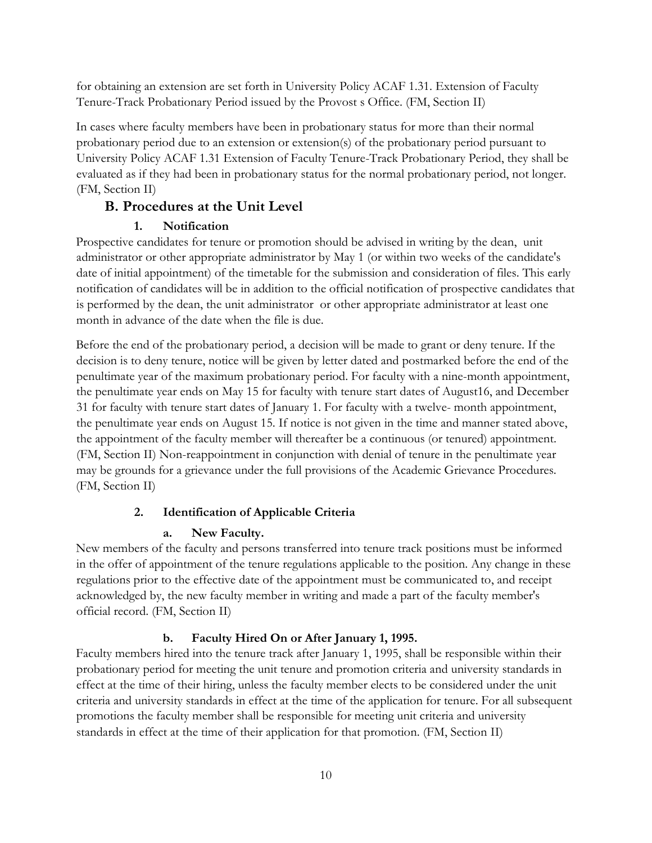for obtaining an extension are set forth in University Policy ACAF 1.31. Extension of Faculty Tenure-Track Probationary Period issued by the Provost s Office. (FM, Section II)

In cases where faculty members have been in probationary status for more than their normal probationary period due to an extension or extension(s) of the probationary period pursuant to University Policy ACAF 1.31 Extension of Faculty Tenure-Track Probationary Period, they shall be evaluated as if they had been in probationary status for the normal probationary period, not longer. (FM, Section II)

# <span id="page-13-0"></span>**B. Procedures at the Unit Level**

#### <span id="page-13-1"></span>**1. Notification**

Prospective candidates for tenure or promotion should be advised in writing by the dean, unit administrator or other appropriate administrator by May 1 (or within two weeks of the candidate's date of initial appointment) of the timetable for the submission and consideration of files. This early notification of candidates will be in addition to the official notification of prospective candidates that is performed by the dean, the unit administrator or other appropriate administrator at least one month in advance of the date when the file is due.

Before the end of the probationary period, a decision will be made to grant or deny tenure. If the decision is to deny tenure, notice will be given by letter dated and postmarked before the end of the penultimate year of the maximum probationary period. For faculty with a nine-month appointment, the penultimate year ends on May 15 for faculty with tenure start dates of August16, and December 31 for faculty with tenure start dates of January 1. For faculty with a twelve- month appointment, the penultimate year ends on August 15. If notice is not given in the time and manner stated above, the appointment of the faculty member will thereafter be a continuous (or tenured) appointment. (FM, Section II) Non-reappointment in conjunction with denial of tenure in the penultimate year may be grounds for a grievance under the full provisions of the Academic Grievance Procedures. (FM, Section II)

#### <span id="page-13-2"></span>**2. Identification of Applicable Criteria**

#### **a. New Faculty.**

New members of the faculty and persons transferred into tenure track positions must be informed in the offer of appointment of the tenure regulations applicable to the position. Any change in these regulations prior to the effective date of the appointment must be communicated to, and receipt acknowledged by, the new faculty member in writing and made a part of the faculty member's official record. (FM, Section II)

#### **b. Faculty Hired On or After January 1, 1995.**

Faculty members hired into the tenure track after January 1, 1995, shall be responsible within their probationary period for meeting the unit tenure and promotion criteria and university standards in effect at the time of their hiring, unless the faculty member elects to be considered under the unit criteria and university standards in effect at the time of the application for tenure. For all subsequent promotions the faculty member shall be responsible for meeting unit criteria and university standards in effect at the time of their application for that promotion. (FM, Section II)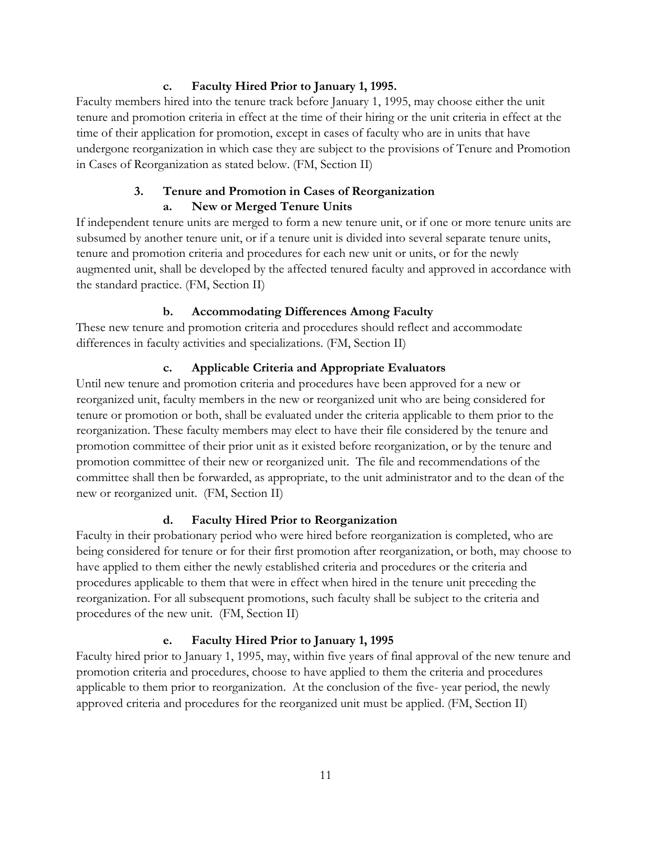#### **c. Faculty Hired Prior to January 1, 1995.**

Faculty members hired into the tenure track before January 1, 1995, may choose either the unit tenure and promotion criteria in effect at the time of their hiring or the unit criteria in effect at the time of their application for promotion, except in cases of faculty who are in units that have undergone reorganization in which case they are subject to the provisions of Tenure and Promotion in Cases of Reorganization as stated below. (FM, Section II)

# <span id="page-14-0"></span>**3. Tenure and Promotion in Cases of Reorganization a. New or Merged Tenure Units**

If independent tenure units are merged to form a new tenure unit, or if one or more tenure units are subsumed by another tenure unit, or if a tenure unit is divided into several separate tenure units, tenure and promotion criteria and procedures for each new unit or units, or for the newly augmented unit, shall be developed by the affected tenured faculty and approved in accordance with the standard practice. (FM, Section II)

# **b. Accommodating Differences Among Faculty**

These new tenure and promotion criteria and procedures should reflect and accommodate differences in faculty activities and specializations. (FM, Section II)

#### **c. Applicable Criteria and Appropriate Evaluators**

Until new tenure and promotion criteria and procedures have been approved for a new or reorganized unit, faculty members in the new or reorganized unit who are being considered for tenure or promotion or both, shall be evaluated under the criteria applicable to them prior to the reorganization. These faculty members may elect to have their file considered by the tenure and promotion committee of their prior unit as it existed before reorganization, or by the tenure and promotion committee of their new or reorganized unit. The file and recommendations of the committee shall then be forwarded, as appropriate, to the unit administrator and to the dean of the new or reorganized unit. (FM, Section II)

# **d. Faculty Hired Prior to Reorganization**

Faculty in their probationary period who were hired before reorganization is completed, who are being considered for tenure or for their first promotion after reorganization, or both, may choose to have applied to them either the newly established criteria and procedures or the criteria and procedures applicable to them that were in effect when hired in the tenure unit preceding the reorganization. For all subsequent promotions, such faculty shall be subject to the criteria and procedures of the new unit. (FM, Section II)

#### **e. Faculty Hired Prior to January 1, 1995**

Faculty hired prior to January 1, 1995, may, within five years of final approval of the new tenure and promotion criteria and procedures, choose to have applied to them the criteria and procedures applicable to them prior to reorganization. At the conclusion of the five- year period, the newly approved criteria and procedures for the reorganized unit must be applied. (FM, Section II)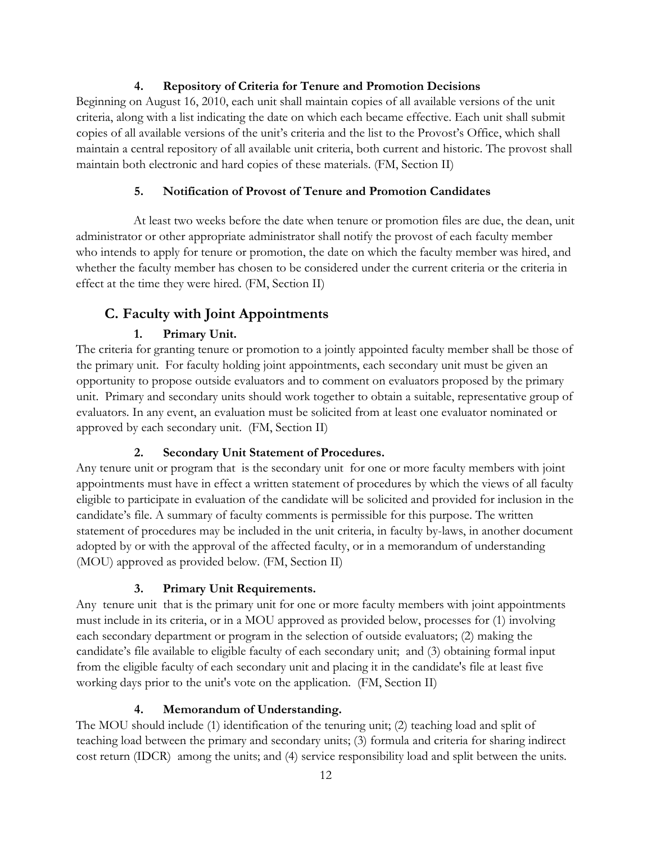#### <span id="page-15-0"></span>**4. Repository of Criteria for Tenure and Promotion Decisions**

Beginning on August 16, 2010, each unit shall maintain copies of all available versions of the unit criteria, along with a list indicating the date on which each became effective. Each unit shall submit copies of all available versions of the unit's criteria and the list to the Provost's Office, which shall maintain a central repository of all available unit criteria, both current and historic. The provost shall maintain both electronic and hard copies of these materials. (FM, Section II)

#### <span id="page-15-1"></span>**5. Notification of Provost of Tenure and Promotion Candidates**

At least two weeks before the date when tenure or promotion files are due, the dean, unit administrator or other appropriate administrator shall notify the provost of each faculty member who intends to apply for tenure or promotion, the date on which the faculty member was hired, and whether the faculty member has chosen to be considered under the current criteria or the criteria in effect at the time they were hired. (FM, Section II)

# <span id="page-15-2"></span>**C. Faculty with Joint Appointments**

# <span id="page-15-3"></span>**1. Primary Unit.**

The criteria for granting tenure or promotion to a jointly appointed faculty member shall be those of the primary unit. For faculty holding joint appointments, each secondary unit must be given an opportunity to propose outside evaluators and to comment on evaluators proposed by the primary unit. Primary and secondary units should work together to obtain a suitable, representative group of evaluators. In any event, an evaluation must be solicited from at least one evaluator nominated or approved by each secondary unit. (FM, Section II)

# <span id="page-15-4"></span>**2. Secondary Unit Statement of Procedures.**

Any tenure unit or program that is the secondary unit for one or more faculty members with joint appointments must have in effect a written statement of procedures by which the views of all faculty eligible to participate in evaluation of the candidate will be solicited and provided for inclusion in the candidate's file. A summary of faculty comments is permissible for this purpose. The written statement of procedures may be included in the unit criteria, in faculty by-laws, in another document adopted by or with the approval of the affected faculty, or in a memorandum of understanding (MOU) approved as provided below. (FM, Section II)

#### <span id="page-15-5"></span>**3. Primary Unit Requirements.**

Any tenure unit that is the primary unit for one or more faculty members with joint appointments must include in its criteria, or in a MOU approved as provided below, processes for (1) involving each secondary department or program in the selection of outside evaluators; (2) making the candidate's file available to eligible faculty of each secondary unit; and (3) obtaining formal input from the eligible faculty of each secondary unit and placing it in the candidate's file at least five working days prior to the unit's vote on the application. (FM, Section II)

# <span id="page-15-6"></span>**4. Memorandum of Understanding.**

The MOU should include (1) identification of the tenuring unit; (2) teaching load and split of teaching load between the primary and secondary units; (3) formula and criteria for sharing indirect cost return (IDCR) among the units; and (4) service responsibility load and split between the units.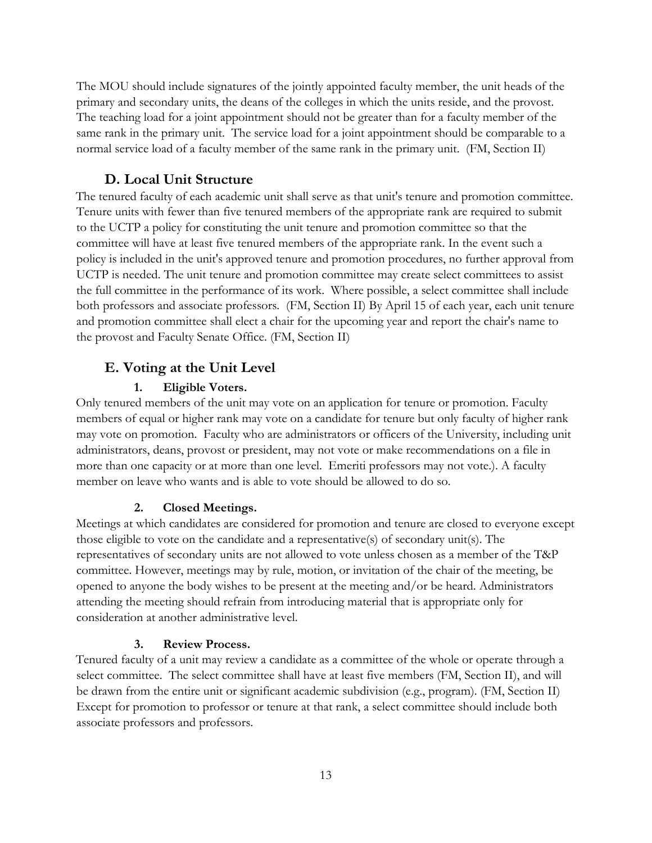The MOU should include signatures of the jointly appointed faculty member, the unit heads of the primary and secondary units, the deans of the colleges in which the units reside, and the provost. The teaching load for a joint appointment should not be greater than for a faculty member of the same rank in the primary unit. The service load for a joint appointment should be comparable to a normal service load of a faculty member of the same rank in the primary unit. (FM, Section II)

#### **D. Local Unit Structure**

<span id="page-16-0"></span>The tenured faculty of each academic unit shall serve as that unit's tenure and promotion committee. Tenure units with fewer than five tenured members of the appropriate rank are required to submit to the UCTP a policy for constituting the unit tenure and promotion committee so that the committee will have at least five tenured members of the appropriate rank. In the event such a policy is included in the unit's approved tenure and promotion procedures, no further approval from UCTP is needed. The unit tenure and promotion committee may create select committees to assist the full committee in the performance of its work. Where possible, a select committee shall include both professors and associate professors. (FM, Section II) By April 15 of each year, each unit tenure and promotion committee shall elect a chair for the upcoming year and report the chair's name to the provost and Faculty Senate Office. (FM, Section II)

# <span id="page-16-1"></span>**E. Voting at the Unit Level**

#### <span id="page-16-2"></span>**1. Eligible Voters.**

Only tenured members of the unit may vote on an application for tenure or promotion. Faculty members of equal or higher rank may vote on a candidate for tenure but only faculty of higher rank may vote on promotion. Faculty who are administrators or officers of the University, including unit administrators, deans, provost or president, may not vote or make recommendations on a file in more than one capacity or at more than one level. Emeriti professors may not vote.). A faculty member on leave who wants and is able to vote should be allowed to do so.

#### <span id="page-16-3"></span>**2. Closed Meetings.**

Meetings at which candidates are considered for promotion and tenure are closed to everyone except those eligible to vote on the candidate and a representative(s) of secondary unit(s). The representatives of secondary units are not allowed to vote unless chosen as a member of the T&P committee. However, meetings may by rule, motion, or invitation of the chair of the meeting, be opened to anyone the body wishes to be present at the meeting and/or be heard. Administrators attending the meeting should refrain from introducing material that is appropriate only for consideration at another administrative level.

#### <span id="page-16-4"></span>**3. Review Process.**

Tenured faculty of a unit may review a candidate as a committee of the whole or operate through a select committee. The select committee shall have at least five members (FM, Section II), and will be drawn from the entire unit or significant academic subdivision (e.g., program). (FM, Section II) Except for promotion to professor or tenure at that rank, a select committee should include both associate professors and professors.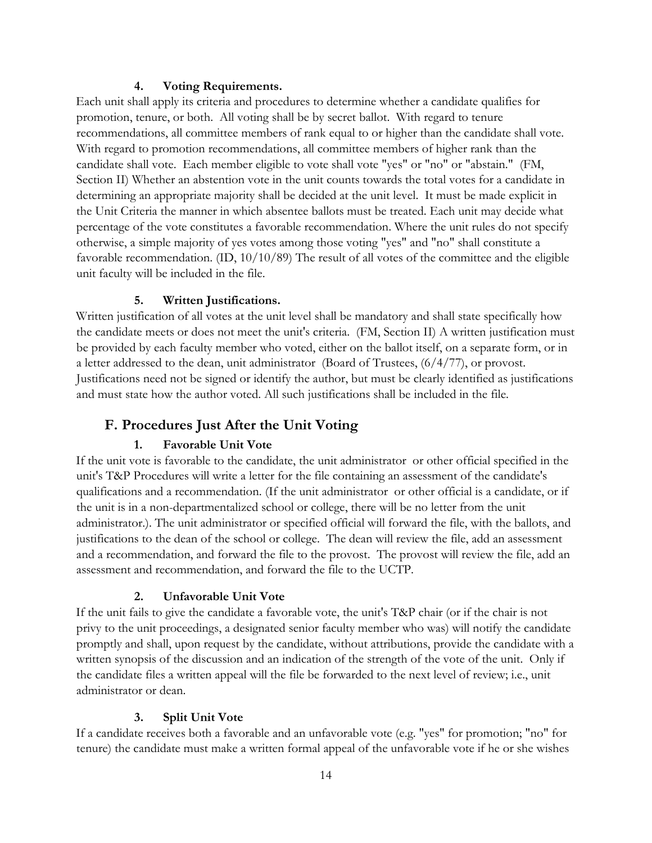#### <span id="page-17-0"></span>**4. Voting Requirements.**

Each unit shall apply its criteria and procedures to determine whether a candidate qualifies for promotion, tenure, or both. All voting shall be by secret ballot. With regard to tenure recommendations, all committee members of rank equal to or higher than the candidate shall vote. With regard to promotion recommendations, all committee members of higher rank than the candidate shall vote. Each member eligible to vote shall vote "yes" or "no" or "abstain." (FM, Section II) Whether an abstention vote in the unit counts towards the total votes for a candidate in determining an appropriate majority shall be decided at the unit level. It must be made explicit in the Unit Criteria the manner in which absentee ballots must be treated. Each unit may decide what percentage of the vote constitutes a favorable recommendation. Where the unit rules do not specify otherwise, a simple majority of yes votes among those voting "yes" and "no" shall constitute a favorable recommendation. (ID, 10/10/89) The result of all votes of the committee and the eligible unit faculty will be included in the file.

#### <span id="page-17-1"></span>**5. Written Justifications.**

Written justification of all votes at the unit level shall be mandatory and shall state specifically how the candidate meets or does not meet the unit's criteria. (FM, Section II) A written justification must be provided by each faculty member who voted, either on the ballot itself, on a separate form, or in a letter addressed to the dean, unit administrator (Board of Trustees, (6/4/77), or provost. Justifications need not be signed or identify the author, but must be clearly identified as justifications and must state how the author voted. All such justifications shall be included in the file.

# <span id="page-17-2"></span>**F. Procedures Just After the Unit Voting**

#### <span id="page-17-3"></span>**1. Favorable Unit Vote**

If the unit vote is favorable to the candidate, the unit administrator or other official specified in the unit's T&P Procedures will write a letter for the file containing an assessment of the candidate's qualifications and a recommendation. (If the unit administrator or other official is a candidate, or if the unit is in a non-departmentalized school or college, there will be no letter from the unit administrator.). The unit administrator or specified official will forward the file, with the ballots, and justifications to the dean of the school or college. The dean will review the file, add an assessment and a recommendation, and forward the file to the provost. The provost will review the file, add an assessment and recommendation, and forward the file to the UCTP.

#### <span id="page-17-4"></span>**2. Unfavorable Unit Vote**

If the unit fails to give the candidate a favorable vote, the unit's T&P chair (or if the chair is not privy to the unit proceedings, a designated senior faculty member who was) will notify the candidate promptly and shall, upon request by the candidate, without attributions, provide the candidate with a written synopsis of the discussion and an indication of the strength of the vote of the unit. Only if the candidate files a written appeal will the file be forwarded to the next level of review; i.e., unit administrator or dean.

#### <span id="page-17-5"></span>**3. Split Unit Vote**

If a candidate receives both a favorable and an unfavorable vote (e.g. "yes" for promotion; "no" for tenure) the candidate must make a written formal appeal of the unfavorable vote if he or she wishes